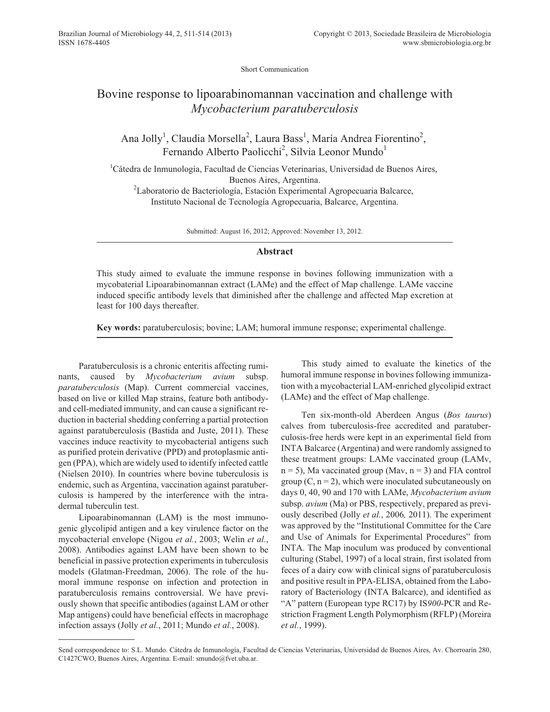Short Communication

## Bovine response to lipoarabinomannan vaccination and challenge with *Mycobacterium paratuberculosis*

Ana Jolly<sup>1</sup>, Claudia Morsella<sup>2</sup>, Laura Bass<sup>1</sup>, María Andrea Fiorentino<sup>2</sup>, Fernando Alberto Paolicchi<sup>2</sup>, Silvia Leonor Mundo<sup>1</sup>

<sup>1</sup>Cátedra de Inmunología, Facultad de Ciencias Veterinarias, Universidad de Buenos Aires, Buenos Aires, Argentina.

<sup>2</sup>Laboratorio de Bacteriología, Estación Experimental Agropecuaria Balcarce, Instituto Nacional de Tecnología Agropecuaria, Balcarce, Argentina.

Submitted: August 16, 2012; Approved: November 13, 2012.

## **Abstract**

This study aimed to evaluate the immune response in bovines following immunization with a mycobaterial Lipoarabinomannan extract (LAMe) and the effect of Map challenge. LAMe vaccine induced specific antibody levels that diminished after the challenge and affected Map excretion at least for 100 days thereafter.

**Key words:** paratuberculosis; bovine; LAM; humoral immune response; experimental challenge.

Paratuberculosis is a chronic enteritis affecting ruminants, caused by *Mycobacterium avium* subsp. *paratuberculosis* (Map). Current commercial vaccines, based on live or killed Map strains, feature both antibodyand cell-mediated immunity, and can cause a significant reduction in bacterial shedding conferring a partial protection against paratuberculosis (Bastida and Juste, 2011). These vaccines induce reactivity to mycobacterial antigens such as purified protein derivative (PPD) and protoplasmic antigen (PPA), which are widely used to identify infected cattle (Nielsen 2010). In countries where bovine tuberculosis is endemic, such as Argentina, vaccination against paratuberculosis is hampered by the interference with the intradermal tuberculin test.

Lipoarabinomannan (LAM) is the most immunogenic glycolipid antigen and a key virulence factor on the mycobacterial envelope (Nigou *et al.*, 2003; Welin *et al.*, 2008). Antibodies against LAM have been shown to be beneficial in passive protection experiments in tuberculosis models (Glatman-Freedman, 2006). The role of the humoral immune response on infection and protection in paratuberculosis remains controversial. We have previously shown that specific antibodies (against LAM or other Map antigens) could have beneficial effects in macrophage infection assays (Jolly *et al.*, 2011; Mundo *et al.*, 2008).

This study aimed to evaluate the kinetics of the humoral immune response in bovines following immunization with a mycobacterial LAM-enriched glycolipid extract (LAMe) and the effect of Map challenge.

Ten six-month-old Aberdeen Angus (*Bos taurus*) calves from tuberculosis-free accredited and paratuberculosis-free herds were kept in an experimental field from INTA Balcarce (Argentina) and were randomly assigned to these treatment groups: LAMe vaccinated group (LAMv,  $n = 5$ ), Ma vaccinated group (Mav,  $n = 3$ ) and FIA control group  $(C, n = 2)$ , which were inoculated subcutaneously on days 0, 40, 90 and 170 with LAMe, *Mycobacterium avium* subsp. *avium* (Ma) or PBS, respectively, prepared as previously described (Jolly *et al.*, 2006*,* 2011). The experiment was approved by the "Institutional Committee for the Care and Use of Animals for Experimental Procedures" from INTA. The Map inoculum was produced by conventional culturing (Stabel, 1997) of a local strain, first isolated from feces of a dairy cow with clinical signs of paratuberculosis and positive result in PPA-ELISA, obtained from the Laboratory of Bacteriology (INTA Balcarce), and identified as "A" pattern (European type RC17) by IS*900*-PCR and Restriction Fragment Length Polymorphism (RFLP) (Moreira *et al.*, 1999).

Send correspondence to: S.L. Mundo. Cátedra de Inmunología, Facultad de Ciencias Veterinarias, Universidad de Buenos Aires, Av. Chorroarín 280, C1427CWO, Buenos Aires, Argentina. E-mail: smundo@fvet.uba.ar.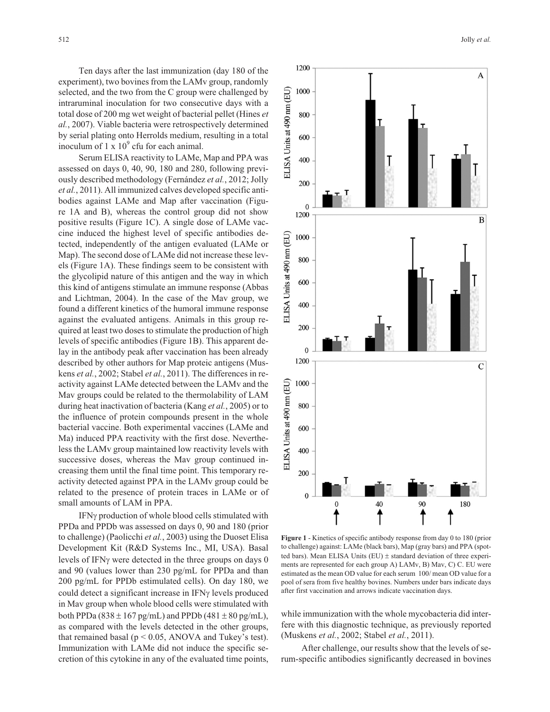Ten days after the last immunization (day 180 of the experiment), two bovines from the LAMv group, randomly selected, and the two from the C group were challenged by intraruminal inoculation for two consecutive days with a total dose of 200 mg wet weight of bacterial pellet (Hines *et al.*, 2007). Viable bacteria were retrospectively determined by serial plating onto Herrolds medium, resulting in a total inoculum of  $1 \times 10^9$  cfu for each animal.

Serum ELISA reactivity to LAMe, Map and PPA was assessed on days 0, 40, 90, 180 and 280, following previously described methodology (Fernández *et al.*, 2012; Jolly *et al.*, 2011). All immunized calves developed specific antibodies against LAMe and Map after vaccination (Figure 1A and B), whereas the control group did not show positive results (Figure 1C). A single dose of LAMe vaccine induced the highest level of specific antibodies detected, independently of the antigen evaluated (LAMe or Map). The second dose of LAMe did not increase these levels (Figure 1A). These findings seem to be consistent with the glycolipid nature of this antigen and the way in which this kind of antigens stimulate an immune response (Abbas and Lichtman, 2004). In the case of the Mav group, we found a different kinetics of the humoral immune response against the evaluated antigens. Animals in this group required at least two doses to stimulate the production of high levels of specific antibodies (Figure 1B). This apparent delay in the antibody peak after vaccination has been already described by other authors for Map proteic antigens (Muskens *et al.*, 2002; Stabel *et al.*, 2011). The differences in reactivity against LAMe detected between the LAMv and the Mav groups could be related to the thermolability of LAM during heat inactivation of bacteria (Kang *et al.*, 2005) or to the influence of protein compounds present in the whole bacterial vaccine. Both experimental vaccines (LAMe and Ma) induced PPA reactivity with the first dose. Nevertheless the LAMv group maintained low reactivity levels with successive doses, whereas the Mav group continued increasing them until the final time point. This temporary reactivity detected against PPA in the LAMv group could be related to the presence of protein traces in LAMe or of small amounts of LAM in PPA.

IFNy production of whole blood cells stimulated with PPDa and PPDb was assessed on days 0, 90 and 180 (prior to challenge) (Paolicchi *et al.*, 2003) using the Duoset Elisa Development Kit (R&D Systems Inc., MI, USA). Basal levels of IFN<sub>Y</sub> were detected in the three groups on days 0 and 90 (values lower than 230 pg/mL for PPDa and than 200 pg/mL for PPDb estimulated cells). On day 180, we could detect a significant increase in IFNy levels produced in Mav group when whole blood cells were stimulated with both PPDa (838  $\pm$  167 pg/mL) and PPDb (481  $\pm$  80 pg/mL), as compared with the levels detected in the other groups, that remained basal ( $p \le 0.05$ , ANOVA and Tukey's test). Immunization with LAMe did not induce the specific secretion of this cytokine in any of the evaluated time points,



**Figure 1** - Kinetics of specific antibody response from day 0 to 180 (prior to challenge) against: LAMe (black bars), Map (gray bars) and PPA (spotted bars). Mean ELISA Units (EU)  $\pm$  standard deviation of three experiments are represented for each group A) LAMv, B) Mav, C) C. EU were estimated as the mean OD value for each serum 100/ mean OD value for a pool of sera from five healthy bovines. Numbers under bars indicate days after first vaccination and arrows indicate vaccination days.

while immunization with the whole mycobacteria did interfere with this diagnostic technique, as previously reported (Muskens *et al.*, 2002; Stabel *et al.*, 2011).

After challenge, our results show that the levels of serum-specific antibodies significantly decreased in bovines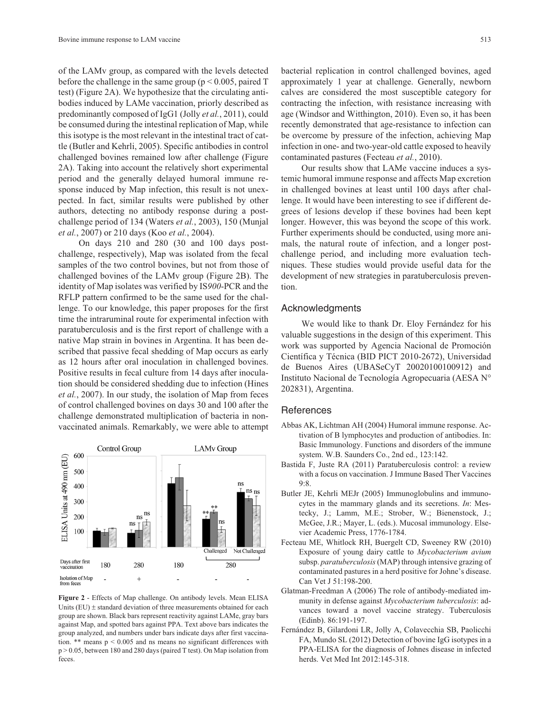of the LAMv group, as compared with the levels detected before the challenge in the same group ( $p \le 0.005$ , paired T test) (Figure 2A). We hypothesize that the circulating antibodies induced by LAMe vaccination, priorly described as predominantly composed of IgG1 (Jolly *et al.*, 2011), could be consumed during the intestinal replication of Map, while this isotype is the most relevant in the intestinal tract of cattle (Butler and Kehrli, 2005). Specific antibodies in control challenged bovines remained low after challenge (Figure 2A). Taking into account the relatively short experimental period and the generally delayed humoral immune response induced by Map infection, this result is not unexpected. In fact, similar results were published by other authors, detecting no antibody response during a postchallenge period of 134 (Waters *et al.*, 2003), 150 (Munjal *et al.*, 2007) or 210 days (Koo *et al.*, 2004).

On days 210 and 280 (30 and 100 days postchallenge, respectively), Map was isolated from the fecal samples of the two control bovines, but not from those of challenged bovines of the LAMv group (Figure 2B). The identity of Map isolates was verified by IS*900*-PCR and the RFLP pattern confirmed to be the same used for the challenge. To our knowledge, this paper proposes for the first time the intraruminal route for experimental infection with paratuberculosis and is the first report of challenge with a native Map strain in bovines in Argentina. It has been described that passive fecal shedding of Map occurs as early as 12 hours after oral inoculation in challenged bovines. Positive results in fecal culture from 14 days after inoculation should be considered shedding due to infection (Hines *et al.*, 2007). In our study, the isolation of Map from feces of control challenged bovines on days 30 and 100 after the challenge demonstrated multiplication of bacteria in nonvaccinated animals. Remarkably, we were able to attempt



**Figure 2** - Effects of Map challenge. On antibody levels. Mean ELISA Units (EU)  $\pm$  standard deviation of three measurements obtained for each group are shown. Black bars represent reactivity against LAMe, gray bars against Map, and spotted bars against PPA. Text above bars indicates the group analyzed, and numbers under bars indicate days after first vaccination. \*\* means p < 0.005 and ns means no significant differences with  $p > 0.05$ , between 180 and 280 days (paired T test). On Map isolation from feces.

bacterial replication in control challenged bovines, aged approximately 1 year at challenge. Generally, newborn calves are considered the most susceptible category for contracting the infection, with resistance increasing with age (Windsor and Witthington, 2010). Even so, it has been recently demonstrated that age-resistance to infection can be overcome by pressure of the infection, achieving Map infection in one- and two-year-old cattle exposed to heavily contaminated pastures (Fecteau *et al.*, 2010).

Our results show that LAMe vaccine induces a systemic humoral immune response and affects Map excretion in challenged bovines at least until 100 days after challenge. It would have been interesting to see if different degrees of lesions develop if these bovines had been kept longer. However, this was beyond the scope of this work. Further experiments should be conducted, using more animals, the natural route of infection, and a longer postchallenge period, and including more evaluation techniques. These studies would provide useful data for the development of new strategies in paratuberculosis prevention.

## Acknowledgments

We would like to thank Dr. Eloy Fernández for his valuable suggestions in the design of this experiment. This work was supported by Agencia Nacional de Promoción Científica y Técnica (BID PICT 2010-2672), Universidad de Buenos Aires (UBASeCyT 20020100100912) and Instituto Nacional de Tecnología Agropecuaria (AESA N° 202831), Argentina.

## **References**

- Abbas AK, Lichtman AH (2004) Humoral immune response. Activation of B lymphocytes and production of antibodies. In: Basic Immunology. Functions and disorders of the immune system. W.B. Saunders Co., 2nd ed., 123:142.
- Bastida F, Juste RA (2011) Paratuberculosis control: a review with a focus on vaccination. J Immune Based Ther Vaccines 9:8.
- Butler JE, Kehrli MEJr (2005) Immunoglobulins and immunocytes in the mammary glands and its secretions. *In*: Mestecky, J.; Lamm, M.E.; Strober, W.; Bienenstock, J.; McGee, J.R.; Mayer, L. (eds.). Mucosal immunology. Elsevier Academic Press, 1776-1784.
- Fecteau ME, Whitlock RH, Buergelt CD, Sweeney RW (2010) Exposure of young dairy cattle to *Mycobacterium avium* subsp. *paratuberculosis*(MAP) through intensive grazing of contaminated pastures in a herd positive for Johne's disease. Can Vet J 51:198-200.
- Glatman-Freedman A (2006) The role of antibody-mediated immunity in defense against *Mycobacterium tuberculosis*: advances toward a novel vaccine strategy. Tuberculosis (Edinb). 86:191-197.
- Fernández B, Gilardoni LR, Jolly A, Colavecchia SB, Paolicchi FA, Mundo SL (2012) Detection of bovine IgG isotypes in a PPA-ELISA for the diagnosis of Johnes disease in infected herds. Vet Med Int 2012:145-318.